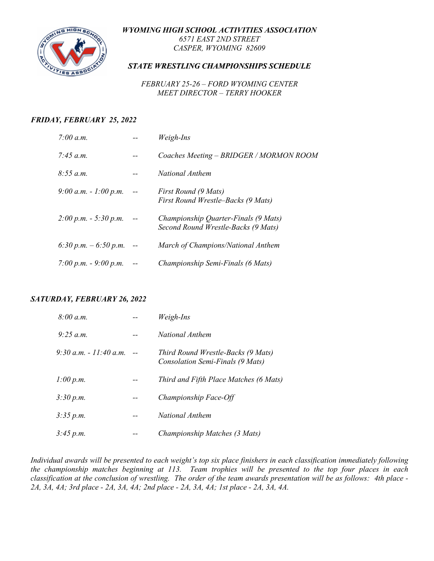*WYOMING HIGH SCHOOL ACTIVITIES ASSOCIATION*



*6571 EAST 2ND STREET CASPER, WYOMING 82609*

#### *STATE WRESTLING CHAMPIONSHIPS SCHEDULE*

*FEBRUARY 25-26 – FORD WYOMING CENTER MEET DIRECTOR – TERRY HOOKER*

#### *FRIDAY, FEBRUARY 25, 2022*

| 7:00 a.m.                 |            | Weigh-Ins                                                                   |
|---------------------------|------------|-----------------------------------------------------------------------------|
| 7:45 $a.m.$               |            | Coaches Meeting - BRIDGER / MORMON ROOM                                     |
| 8:55 a.m.                 |            | National Anthem                                                             |
| 9:00 a.m. $-1:00 \, p.m.$ |            | First Round (9 Mats)<br>First Round Wrestle–Backs (9 Mats)                  |
| $2:00 p.m. - 5:30 p.m.$   |            | Championship Quarter-Finals (9 Mats)<br>Second Round Wrestle-Backs (9 Mats) |
| 6:30 p.m. $-6:50$ p.m.    | $\sim$ $-$ | March of Champions/National Anthem                                          |
| 7:00 p.m. $-$ 9:00 p.m.   |            | Championship Semi-Finals (6 Mats)                                           |

#### *SATURDAY, FEBRUARY 26, 2022*

| 8:00 a.m.                | Weigh-Ins                                                              |
|--------------------------|------------------------------------------------------------------------|
| $9.25$ a.m.              | National Anthem                                                        |
| $9:30 a.m. - 11:40 a.m.$ | Third Round Wrestle-Backs (9 Mats)<br>Consolation Semi-Finals (9 Mats) |
| 1:00 p.m.                | Third and Fifth Place Matches (6 Mats)                                 |
| 3:30 p.m.                | Championship Face-Off                                                  |
| 3:35 p.m.                | National Anthem                                                        |
| 3:45 p.m.                | Championship Matches (3 Mats)                                          |

*Individual awards will be presented to each weight's top six place finishers in each classification immediately following the championship matches beginning at 113. Team trophies will be presented to the top four places in each classification at the conclusion of wrestling. The order of the team awards presentation will be as follows: 4th place - 2A, 3A, 4A; 3rd place - 2A, 3A, 4A; 2nd place - 2A, 3A, 4A; 1st place - 2A, 3A, 4A.*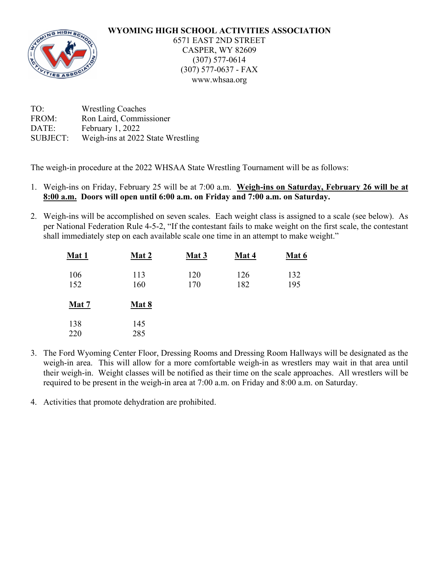#### **WYOMING HIGH SCHOOL ACTIVITIES ASSOCIATION** 6571 EAST 2ND STREET CASPER, WY 82609 (307) 577-0614 (307) 577-0637 - FAX www.whsaa.org

| TO:             | <b>Wrestling Coaches</b>          |
|-----------------|-----------------------------------|
| FROM:           | Ron Laird, Commissioner           |
| DATE:           | February 1, 2022                  |
| <b>SUBJECT:</b> | Weigh-ins at 2022 State Wrestling |

The weigh-in procedure at the 2022 WHSAA State Wrestling Tournament will be as follows:

- 1. Weigh-ins on Friday, February 25 will be at 7:00 a.m. **Weigh-ins on Saturday, February 26 will be at 8:00 a.m. Doors will open until 6:00 a.m. on Friday and 7:00 a.m. on Saturday.**
- 2. Weigh-ins will be accomplished on seven scales. Each weight class is assigned to a scale (see below). As per National Federation Rule 4-5-2, "If the contestant fails to make weight on the first scale, the contestant shall immediately step on each available scale one time in an attempt to make weight."

| Mat 1        | Mat 2        | <b>Mat 3</b> | Mat 4      | Mat 6      |
|--------------|--------------|--------------|------------|------------|
| 106<br>152   | 113<br>160   | 120<br>170   | 126<br>182 | 132<br>195 |
| <b>Mat 7</b> | <b>Mat 8</b> |              |            |            |
| 138<br>220   | 145<br>285   |              |            |            |

- 3. The Ford Wyoming Center Floor, Dressing Rooms and Dressing Room Hallways will be designated as the weigh-in area. This will allow for a more comfortable weigh-in as wrestlers may wait in that area until their weigh-in. Weight classes will be notified as their time on the scale approaches. All wrestlers will be required to be present in the weigh-in area at 7:00 a.m. on Friday and 8:00 a.m. on Saturday.
- 4. Activities that promote dehydration are prohibited.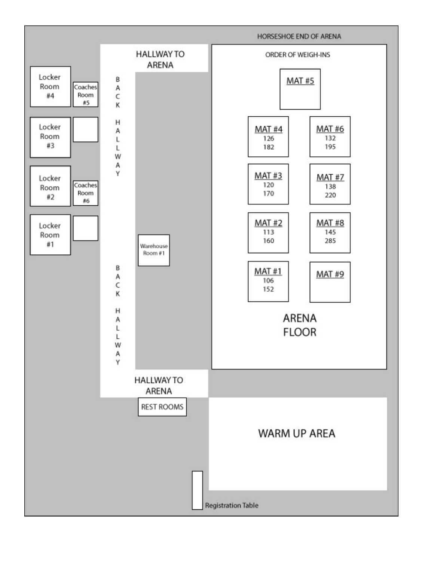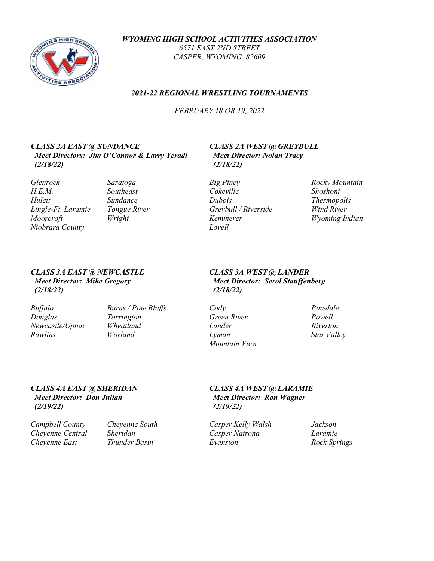

*WYOMING HIGH SCHOOL ACTIVITIES ASSOCIATION 6571 EAST 2ND STREET CASPER, WYOMING 82609*

#### *2021-22 REGIONAL WRESTLING TOURNAMENTS*

*FEBRUARY 18 OR 19, 2022*

#### *CLASS 2A EAST @ SUNDANCE CLASS 2A WEST @ GREYBULL Meet Directors: Jim O'Connor & Larry Yeradi Meet Director: Nolan Tracy (2/18/22) (2/18/22)*

*Glenrock Saratoga Big Piney Rocky Mountain H.E.M. Southeast Cokeville Shoshoni Hulett Sundance Dubois Thermopolis Lingle-Ft. Laramie Tongue River Greybull / Riverside Wind River Moorcroft Wright Kemmerer Wyoming Indian Niobrara County Lovell*

- 
- 

# *(2/18/22) (2/18/22)*

| <b>Buffalo</b>  | Burns / Pine Bluffs | Cody        | Pinedale    |
|-----------------|---------------------|-------------|-------------|
| Douglas         | Torrington          | Green River | Powell      |
| Newcastle/Upton | Wheatland           | Lander      | Riverton    |
| Rawlins         | Worland             | Lyman       | Star Valley |

### *CLASS 3A EAST @ NEWCASTLE CLASS 3A WEST @ LANDER Meet Director: Mike Gregory Meet Director: Serol Stauffenberg*

*Buffalo Burns / Pine Bluffs Cody Pinedale Douglas Torrington Green River Powell Mountain View*

#### *CLASS 4A EAST @ SHERIDAN CLASS 4A WEST @ LARAMIE Meet Director: Don Julian Meet Director: Ron Wagner (2/19/22) (2/19/22)*

*Campbell County Cheyenne South Casper Kelly Walsh Jackson Chevenne Central Cheyenne East Thunder Basin Evanston Rock Springs*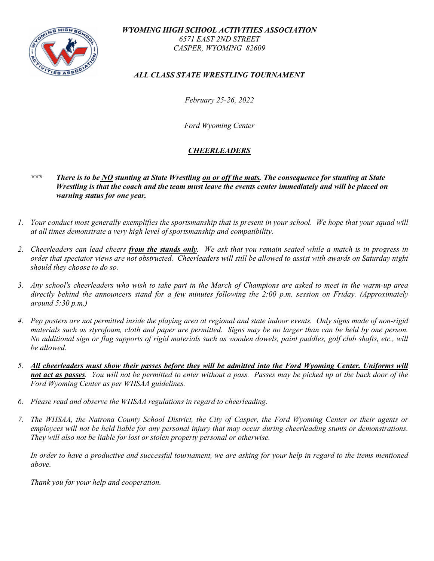

*WYOMING HIGH SCHOOL ACTIVITIES ASSOCIATION 6571 EAST 2ND STREET CASPER, WYOMING 82609*

*ALL CLASS STATE WRESTLING TOURNAMENT*

*February 25-26, 2022*

*Ford Wyoming Center*

#### *CHEERLEADERS*

- *\*\*\* There is to be NO stunting at State Wrestling on or off the mats. The consequence for stunting at State Wrestling is that the coach and the team must leave the events center immediately and will be placed on warning status for one year.*
- *1. Your conduct most generally exemplifies the sportsmanship that is present in your school. We hope that your squad will at all times demonstrate a very high level of sportsmanship and compatibility.*
- *2. Cheerleaders can lead cheers from the stands only. We ask that you remain seated while a match is in progress in order that spectator views are not obstructed. Cheerleaders will still be allowed to assist with awards on Saturday night should they choose to do so.*
- *3. Any school's cheerleaders who wish to take part in the March of Champions are asked to meet in the warm-up area directly behind the announcers stand for a few minutes following the 2:00 p.m. session on Friday. (Approximately around 5:30 p.m.)*
- *4. Pep posters are not permitted inside the playing area at regional and state indoor events. Only signs made of non-rigid materials such as styrofoam, cloth and paper are permitted. Signs may be no larger than can be held by one person. No additional sign or flag supports of rigid materials such as wooden dowels, paint paddles, golf club shafts, etc., will be allowed.*
- *5. All cheerleaders must show their passes before they will be admitted into the Ford Wyoming Center. Uniforms will not act as passes. You will not be permitted to enter without a pass. Passes may be picked up at the back door of the Ford Wyoming Center as per WHSAA guidelines.*
- *6. Please read and observe the WHSAA regulations in regard to cheerleading.*
- *7. The WHSAA, the Natrona County School District, the City of Casper, the Ford Wyoming Center or their agents or employees will not be held liable for any personal injury that may occur during cheerleading stunts or demonstrations. They will also not be liable for lost or stolen property personal or otherwise.*

*In order to have a productive and successful tournament, we are asking for your help in regard to the items mentioned above.*

*Thank you for your help and cooperation.*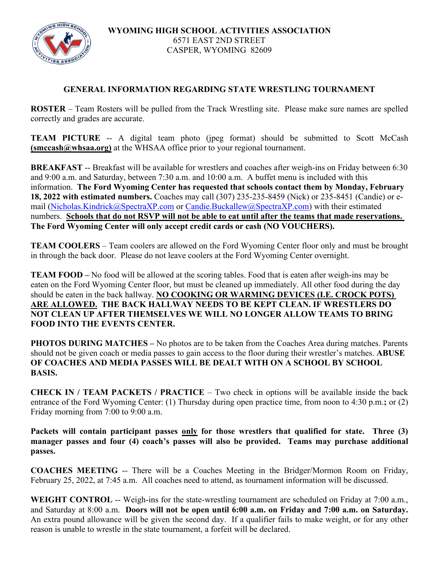

#### **GENERAL INFORMATION REGARDING STATE WRESTLING TOURNAMENT**

**ROSTER** – Team Rosters will be pulled from the Track Wrestling site. Please make sure names are spelled correctly and grades are accurate.

**TEAM PICTURE** -- A digital team photo (jpeg format) should be submitted to Scott McCash **(smccash@whsaa.org)** at the WHSAA office prior to your regional tournament.

**BREAKFAST** -- Breakfast will be available for wrestlers and coaches after weigh-ins on Friday between 6:30 and 9:00 a.m. and Saturday, between 7:30 a.m. and 10:00 a.m. A buffet menu is included with this information. **The Ford Wyoming Center has requested that schools contact them by Monday, February 18, 2022 with estimated numbers.** Coaches may call (307) 235-235-8459 (Nick) or 235-8451 (Candie) or e-mail [\(Nicholas.Kindrick@SpectraXP.com](mailto:Nicholas.Kindrick@SpectraXP.com) or [Candie.Buckallew@SpectraXP.com\)](mailto:Candie.Buckallew@SpectraXP.com) with their estimated numbers. **Schools that do not RSVP will not be able to eat until after the teams that made reservations. The Ford Wyoming Center will only accept credit cards or cash (NO VOUCHERS).** 

**TEAM COOLERS** – Team coolers are allowed on the Ford Wyoming Center floor only and must be brought in through the back door. Please do not leave coolers at the Ford Wyoming Center overnight.

**TEAM FOOD –** No food will be allowed at the scoring tables. Food that is eaten after weigh-ins may be eaten on the Ford Wyoming Center floor, but must be cleaned up immediately. All other food during the day should be eaten in the back hallway. **NO COOKING OR WARMING DEVICES (I.E. CROCK POTS) ARE ALLOWED. THE BACK HALLWAY NEEDS TO BE KEPT CLEAN. IF WRESTLERS DO NOT CLEAN UP AFTER THEMSELVES WE WILL NO LONGER ALLOW TEAMS TO BRING FOOD INTO THE EVENTS CENTER.**

**PHOTOS DURING MATCHES** – No photos are to be taken from the Coaches Area during matches. Parents should not be given coach or media passes to gain access to the floor during their wrestler's matches. **ABUSE OF COACHES AND MEDIA PASSES WILL BE DEALT WITH ON A SCHOOL BY SCHOOL BASIS.**

**CHECK IN / TEAM PACKETS / PRACTICE** – Two check in options will be available inside the back entrance of the Ford Wyoming Center: (1) Thursday during open practice time, from noon to 4:30 p.m.**;** or (2) Friday morning from 7:00 to 9:00 a.m.

**Packets will contain participant passes only for those wrestlers that qualified for state. Three (3) manager passes and four (4) coach's passes will also be provided. Teams may purchase additional passes.**

**COACHES MEETING** -- There will be a Coaches Meeting in the Bridger/Mormon Room on Friday, February 25, 2022, at 7:45 a.m. All coaches need to attend, as tournament information will be discussed.

**WEIGHT CONTROL** -- Weigh-ins for the state-wrestling tournament are scheduled on Friday at 7:00 a.m., and Saturday at 8:00 a.m. **Doors will not be open until 6:00 a.m. on Friday and 7:00 a.m. on Saturday.** An extra pound allowance will be given the second day. If a qualifier fails to make weight, or for any other reason is unable to wrestle in the state tournament, a forfeit will be declared.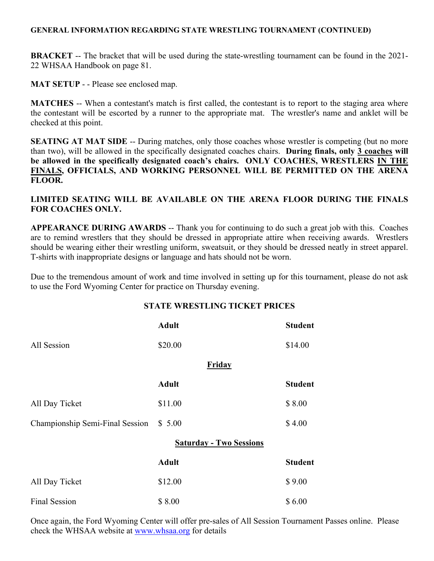#### **GENERAL INFORMATION REGARDING STATE WRESTLING TOURNAMENT (CONTINUED)**

**BRACKET** -- The bracket that will be used during the state-wrestling tournament can be found in the 2021-22 WHSAA Handbook on page 81.

**MAT SETUP** - - Please see enclosed map.

**MATCHES** -- When a contestant's match is first called, the contestant is to report to the staging area where the contestant will be escorted by a runner to the appropriate mat. The wrestler's name and anklet will be checked at this point.

**SEATING AT MAT SIDE** -- During matches, only those coaches whose wrestler is competing (but no more than two), will be allowed in the specifically designated coaches chairs. **During finals, only 3 coaches will be allowed in the specifically designated coach's chairs. ONLY COACHES, WRESTLERS IN THE FINALS, OFFICIALS, AND WORKING PERSONNEL WILL BE PERMITTED ON THE ARENA FLOOR.**

#### **LIMITED SEATING WILL BE AVAILABLE ON THE ARENA FLOOR DURING THE FINALS FOR COACHES ONLY.**

**APPEARANCE DURING AWARDS** -- Thank you for continuing to do such a great job with this. Coaches are to remind wrestlers that they should be dressed in appropriate attire when receiving awards. Wrestlers should be wearing either their wrestling uniform, sweatsuit, or they should be dressed neatly in street apparel. T-shirts with inappropriate designs or language and hats should not be worn.

Due to the tremendous amount of work and time involved in setting up for this tournament, please do not ask to use the Ford Wyoming Center for practice on Thursday evening.

#### **STATE WRESTLING TICKET PRICES**

|                                 | <b>Adult</b>                   | <b>Student</b> |
|---------------------------------|--------------------------------|----------------|
| All Session                     | \$20.00                        | \$14.00        |
|                                 | Friday                         |                |
|                                 | <b>Adult</b>                   | <b>Student</b> |
| All Day Ticket                  | \$11.00                        | \$8.00         |
| Championship Semi-Final Session | \$5.00                         | \$4.00         |
|                                 | <b>Saturday - Two Sessions</b> |                |
|                                 | <b>Adult</b>                   | <b>Student</b> |
| All Day Ticket                  | \$12.00                        | \$9.00         |
| <b>Final Session</b>            | \$8.00                         | \$6.00         |

Once again, the Ford Wyoming Center will offer pre-sales of All Session Tournament Passes online. Please check the WHSAA website at [www.whsaa.org](http://www.whsaa.org/) for details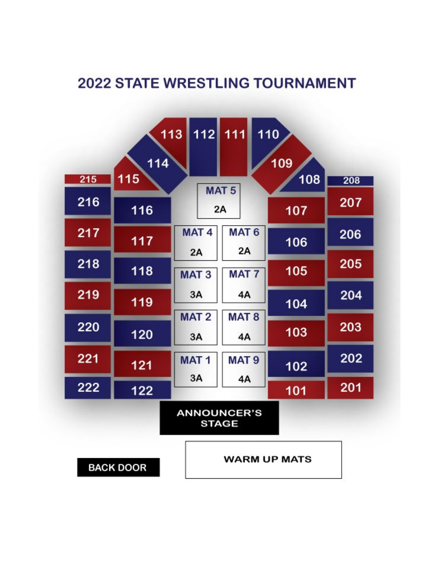### **2022 STATE WRESTLING TOURNAMENT**

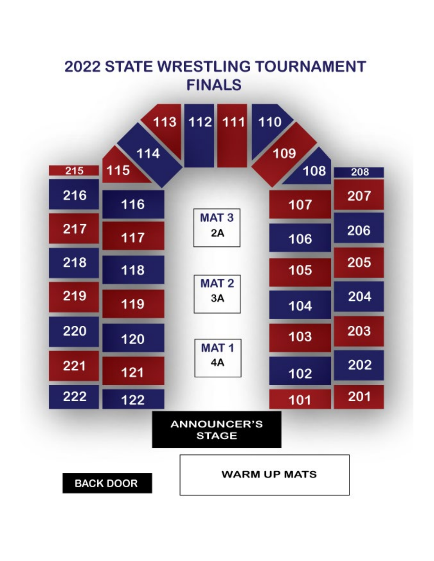## **2022 STATE WRESTLING TOURNAMENT FINALS**

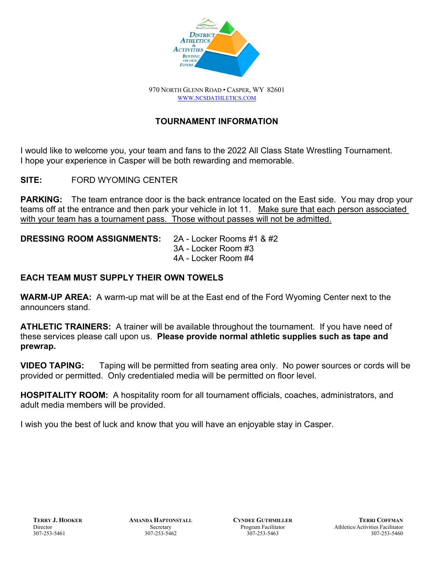

970 NORTH GLENN ROAD • CASPER, WY 82601 [WWW.NCSDATHLETICS.COM](http://www.ncsdathletics.com/)

### **TOURNAMENT INFORMATION**

I would like to welcome you, your team and fans to the 2022 All Class State Wrestling Tournament. I hope your experience in Casper will be both rewarding and memorable.

**SITE:** FORD WYOMING CENTER

**PARKING:** The team entrance door is the back entrance located on the East side. You may drop your teams off at the entrance and then park your vehicle in lot 11. Make sure that each person associated with your team has a tournament pass. Those without passes will not be admitted.

**DRESSING ROOM ASSIGNMENTS:** 2A - Locker Rooms #1 & #2

3A - Locker Room #3 4A - Locker Room #4

#### **EACH TEAM MUST SUPPLY THEIR OWN TOWELS**

**WARM-UP AREA:** A warm-up mat will be at the East end of the Ford Wyoming Center next to the announcers stand.

**ATHLETIC TRAINERS:** A trainer will be available throughout the tournament. If you have need of these services please call upon us. **Please provide normal athletic supplies such as tape and prewrap.**

**VIDEO TAPING:** Taping will be permitted from seating area only. No power sources or cords will be provided or permitted. Only credentialed media will be permitted on floor level.

**HOSPITALITY ROOM:** A hospitality room for all tournament officials, coaches, administrators, and adult media members will be provided.

I wish you the best of luck and know that you will have an enjoyable stay in Casper.